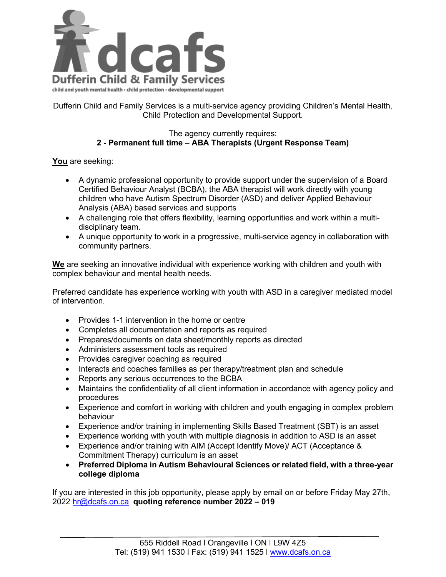

Dufferin Child and Family Services is a multi-service agency providing Children's Mental Health, Child Protection and Developmental Support.

## The agency currently requires: **2 - Permanent full time – ABA Therapists (Urgent Response Team)**

**You** are seeking:

- A dynamic professional opportunity to provide support under the supervision of a Board Certified Behaviour Analyst (BCBA), the ABA therapist will work directly with young children who have Autism Spectrum Disorder (ASD) and deliver Applied Behaviour Analysis (ABA) based services and supports
- A challenging role that offers flexibility, learning opportunities and work within a multidisciplinary team.
- A unique opportunity to work in a progressive, multi-service agency in collaboration with community partners.

**We** are seeking an innovative individual with experience working with children and youth with complex behaviour and mental health needs.

Preferred candidate has experience working with youth with ASD in a caregiver mediated model of intervention.

- Provides 1-1 intervention in the home or centre
- Completes all documentation and reports as required
- Prepares/documents on data sheet/monthly reports as directed
- Administers assessment tools as required
- Provides caregiver coaching as required
- Interacts and coaches families as per therapy/treatment plan and schedule
- Reports any serious occurrences to the BCBA
- Maintains the confidentiality of all client information in accordance with agency policy and procedures
- Experience and comfort in working with children and youth engaging in complex problem behaviour
- Experience and/or training in implementing Skills Based Treatment (SBT) is an asset
- Experience working with youth with multiple diagnosis in addition to ASD is an asset
- Experience and/or training with AIM (Accept Identify Move)/ ACT (Acceptance & Commitment Therapy) curriculum is an asset
- **Preferred Diploma in Autism Behavioural Sciences or related field, with a three-year college diploma**

If you are interested in this job opportunity, please apply by email on or before Friday May 27th, 2022 [hr@dcafs.on.ca](mailto:hr@dcafs.on.ca) **quoting reference number 2022 – 019**